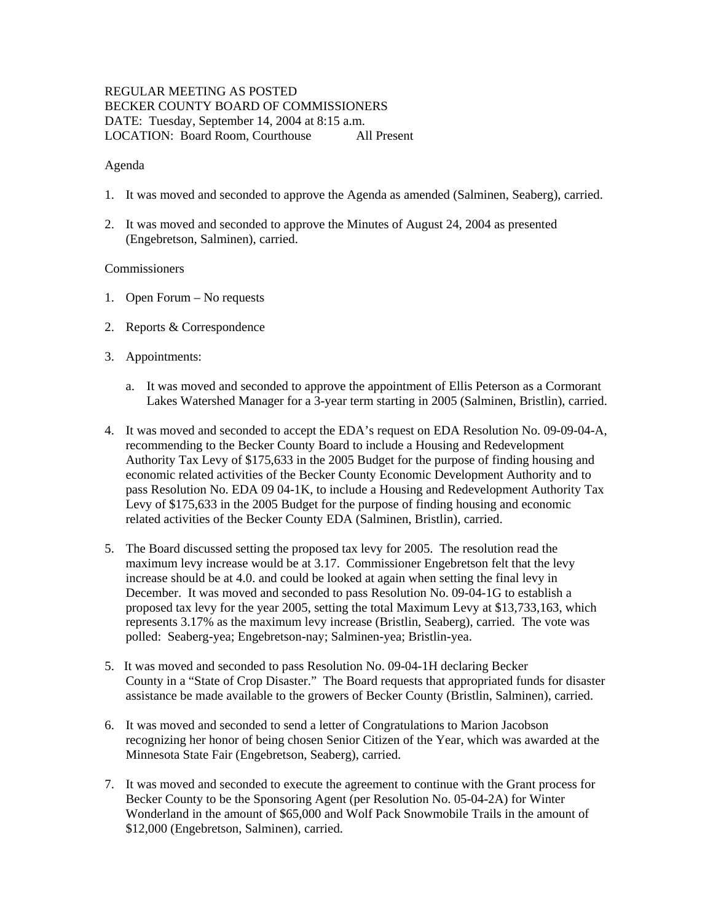# REGULAR MEETING AS POSTED BECKER COUNTY BOARD OF COMMISSIONERS DATE: Tuesday, September 14, 2004 at 8:15 a.m. LOCATION: Board Room, Courthouse All Present

#### Agenda

- 1. It was moved and seconded to approve the Agenda as amended (Salminen, Seaberg), carried.
- 2. It was moved and seconded to approve the Minutes of August 24, 2004 as presented (Engebretson, Salminen), carried.

### **Commissioners**

- 1. Open Forum No requests
- 2. Reports & Correspondence
- 3. Appointments:
	- a. It was moved and seconded to approve the appointment of Ellis Peterson as a Cormorant Lakes Watershed Manager for a 3-year term starting in 2005 (Salminen, Bristlin), carried.
- 4. It was moved and seconded to accept the EDA's request on EDA Resolution No. 09-09-04-A, recommending to the Becker County Board to include a Housing and Redevelopment Authority Tax Levy of \$175,633 in the 2005 Budget for the purpose of finding housing and economic related activities of the Becker County Economic Development Authority and to pass Resolution No. EDA 09 04-1K, to include a Housing and Redevelopment Authority Tax Levy of \$175,633 in the 2005 Budget for the purpose of finding housing and economic related activities of the Becker County EDA (Salminen, Bristlin), carried.
- 5. The Board discussed setting the proposed tax levy for 2005. The resolution read the maximum levy increase would be at 3.17. Commissioner Engebretson felt that the levy increase should be at 4.0. and could be looked at again when setting the final levy in December. It was moved and seconded to pass Resolution No. 09-04-1G to establish a proposed tax levy for the year 2005, setting the total Maximum Levy at \$13,733,163, which represents 3.17% as the maximum levy increase (Bristlin, Seaberg), carried. The vote was polled: Seaberg-yea; Engebretson-nay; Salminen-yea; Bristlin-yea.
- 5. It was moved and seconded to pass Resolution No. 09-04-1H declaring Becker County in a "State of Crop Disaster." The Board requests that appropriated funds for disaster assistance be made available to the growers of Becker County (Bristlin, Salminen), carried.
- 6. It was moved and seconded to send a letter of Congratulations to Marion Jacobson recognizing her honor of being chosen Senior Citizen of the Year, which was awarded at the Minnesota State Fair (Engebretson, Seaberg), carried.
- 7. It was moved and seconded to execute the agreement to continue with the Grant process for Becker County to be the Sponsoring Agent (per Resolution No. 05-04-2A) for Winter Wonderland in the amount of \$65,000 and Wolf Pack Snowmobile Trails in the amount of \$12,000 (Engebretson, Salminen), carried.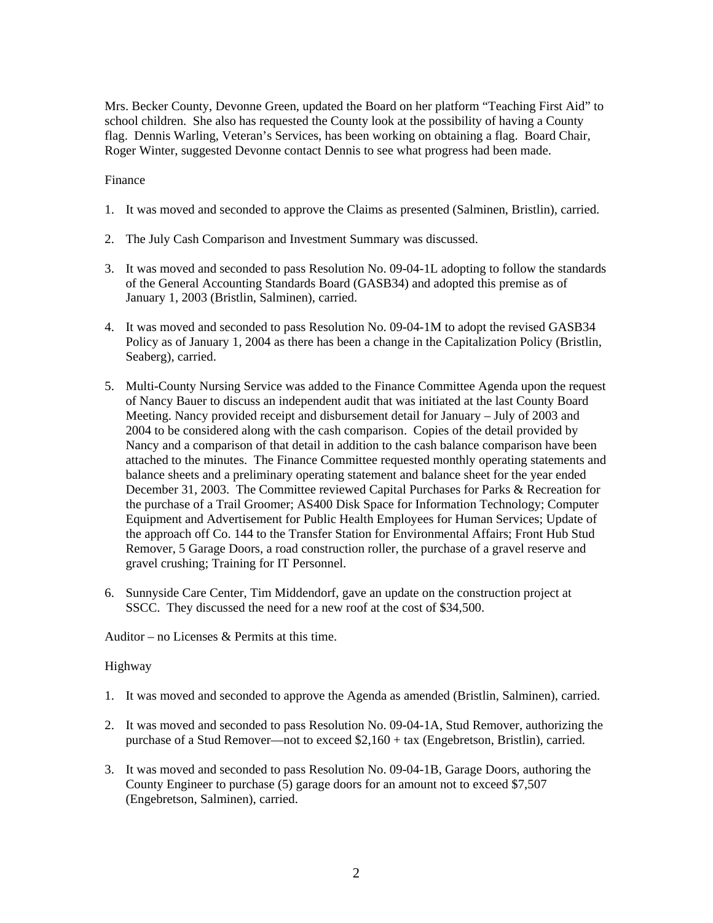Mrs. Becker County, Devonne Green, updated the Board on her platform "Teaching First Aid" to school children. She also has requested the County look at the possibility of having a County flag. Dennis Warling, Veteran's Services, has been working on obtaining a flag. Board Chair, Roger Winter, suggested Devonne contact Dennis to see what progress had been made.

## Finance

- 1. It was moved and seconded to approve the Claims as presented (Salminen, Bristlin), carried.
- 2. The July Cash Comparison and Investment Summary was discussed.
- 3. It was moved and seconded to pass Resolution No. 09-04-1L adopting to follow the standards of the General Accounting Standards Board (GASB34) and adopted this premise as of January 1, 2003 (Bristlin, Salminen), carried.
- 4. It was moved and seconded to pass Resolution No. 09-04-1M to adopt the revised GASB34 Policy as of January 1, 2004 as there has been a change in the Capitalization Policy (Bristlin, Seaberg), carried.
- 5. Multi-County Nursing Service was added to the Finance Committee Agenda upon the request of Nancy Bauer to discuss an independent audit that was initiated at the last County Board Meeting. Nancy provided receipt and disbursement detail for January – July of 2003 and 2004 to be considered along with the cash comparison. Copies of the detail provided by Nancy and a comparison of that detail in addition to the cash balance comparison have been attached to the minutes. The Finance Committee requested monthly operating statements and balance sheets and a preliminary operating statement and balance sheet for the year ended December 31, 2003. The Committee reviewed Capital Purchases for Parks & Recreation for the purchase of a Trail Groomer; AS400 Disk Space for Information Technology; Computer Equipment and Advertisement for Public Health Employees for Human Services; Update of the approach off Co. 144 to the Transfer Station for Environmental Affairs; Front Hub Stud Remover, 5 Garage Doors, a road construction roller, the purchase of a gravel reserve and gravel crushing; Training for IT Personnel.
- 6. Sunnyside Care Center, Tim Middendorf, gave an update on the construction project at SSCC. They discussed the need for a new roof at the cost of \$34,500.

Auditor – no Licenses & Permits at this time.

## Highway

- 1. It was moved and seconded to approve the Agenda as amended (Bristlin, Salminen), carried.
- 2. It was moved and seconded to pass Resolution No. 09-04-1A, Stud Remover, authorizing the purchase of a Stud Remover—not to exceed \$2,160 + tax (Engebretson, Bristlin), carried.
- 3. It was moved and seconded to pass Resolution No. 09-04-1B, Garage Doors, authoring the County Engineer to purchase (5) garage doors for an amount not to exceed \$7,507 (Engebretson, Salminen), carried.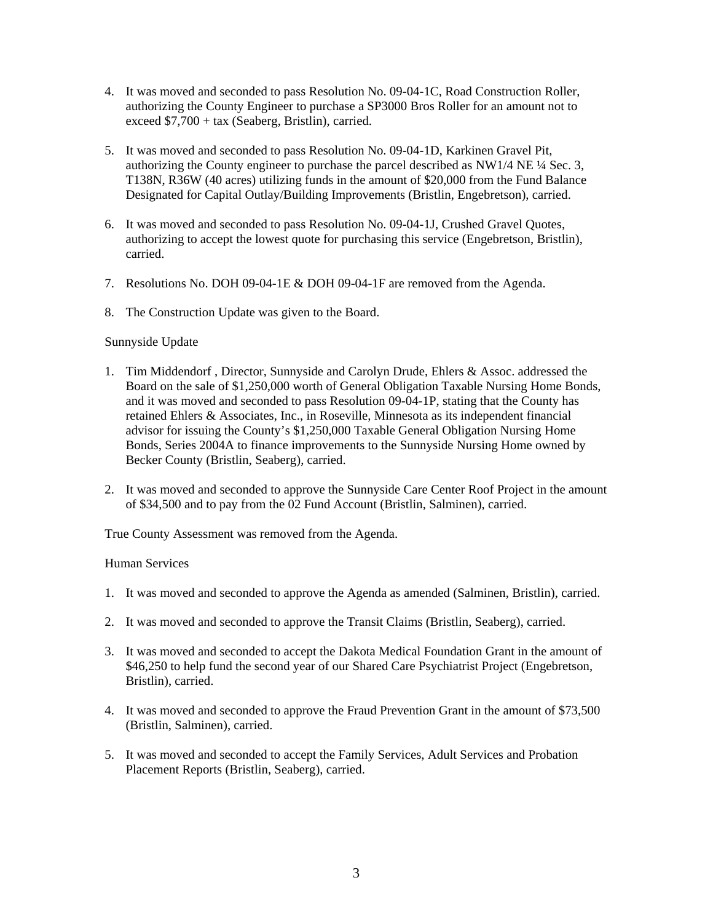- 4. It was moved and seconded to pass Resolution No. 09-04-1C, Road Construction Roller, authorizing the County Engineer to purchase a SP3000 Bros Roller for an amount not to exceed \$7,700 + tax (Seaberg, Bristlin), carried.
- 5. It was moved and seconded to pass Resolution No. 09-04-1D, Karkinen Gravel Pit, authorizing the County engineer to purchase the parcel described as NW1/4 NE ¼ Sec. 3, T138N, R36W (40 acres) utilizing funds in the amount of \$20,000 from the Fund Balance Designated for Capital Outlay/Building Improvements (Bristlin, Engebretson), carried.
- 6. It was moved and seconded to pass Resolution No. 09-04-1J, Crushed Gravel Quotes, authorizing to accept the lowest quote for purchasing this service (Engebretson, Bristlin), carried.
- 7. Resolutions No. DOH 09-04-1E & DOH 09-04-1F are removed from the Agenda.
- 8. The Construction Update was given to the Board.

#### Sunnyside Update

- 1. Tim Middendorf , Director, Sunnyside and Carolyn Drude, Ehlers & Assoc. addressed the Board on the sale of \$1,250,000 worth of General Obligation Taxable Nursing Home Bonds, and it was moved and seconded to pass Resolution 09-04-1P, stating that the County has retained Ehlers & Associates, Inc., in Roseville, Minnesota as its independent financial advisor for issuing the County's \$1,250,000 Taxable General Obligation Nursing Home Bonds, Series 2004A to finance improvements to the Sunnyside Nursing Home owned by Becker County (Bristlin, Seaberg), carried.
- 2. It was moved and seconded to approve the Sunnyside Care Center Roof Project in the amount of \$34,500 and to pay from the 02 Fund Account (Bristlin, Salminen), carried.

True County Assessment was removed from the Agenda.

#### Human Services

- 1. It was moved and seconded to approve the Agenda as amended (Salminen, Bristlin), carried.
- 2. It was moved and seconded to approve the Transit Claims (Bristlin, Seaberg), carried.
- 3. It was moved and seconded to accept the Dakota Medical Foundation Grant in the amount of \$46,250 to help fund the second year of our Shared Care Psychiatrist Project (Engebretson, Bristlin), carried.
- 4. It was moved and seconded to approve the Fraud Prevention Grant in the amount of \$73,500 (Bristlin, Salminen), carried.
- 5. It was moved and seconded to accept the Family Services, Adult Services and Probation Placement Reports (Bristlin, Seaberg), carried.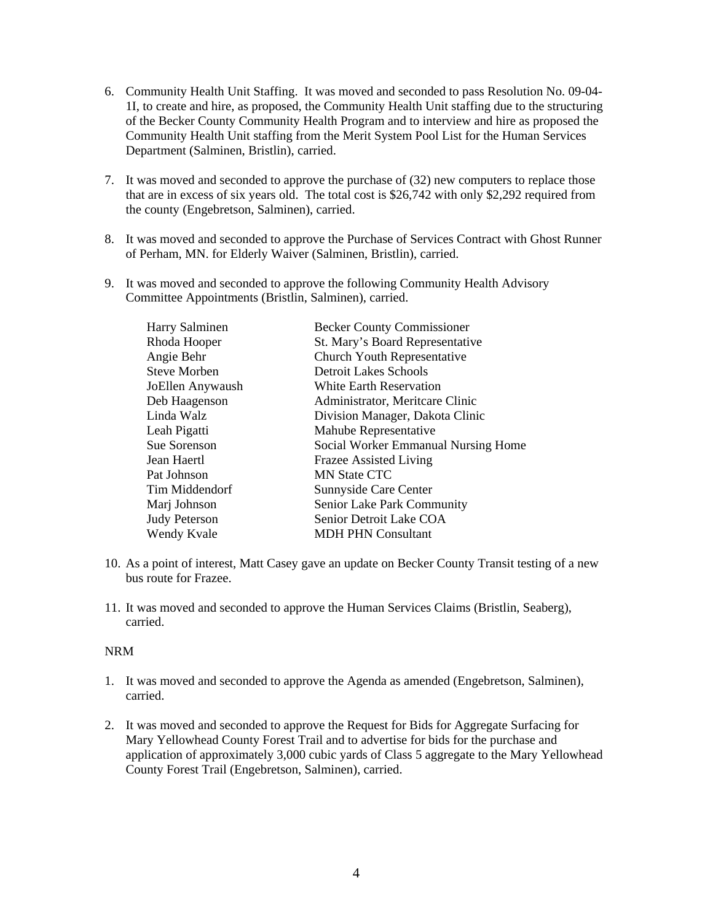- 6. Community Health Unit Staffing. It was moved and seconded to pass Resolution No. 09-04- 1I, to create and hire, as proposed, the Community Health Unit staffing due to the structuring of the Becker County Community Health Program and to interview and hire as proposed the Community Health Unit staffing from the Merit System Pool List for the Human Services Department (Salminen, Bristlin), carried.
- 7. It was moved and seconded to approve the purchase of (32) new computers to replace those that are in excess of six years old. The total cost is \$26,742 with only \$2,292 required from the county (Engebretson, Salminen), carried.
- 8. It was moved and seconded to approve the Purchase of Services Contract with Ghost Runner of Perham, MN. for Elderly Waiver (Salminen, Bristlin), carried.
- 9. It was moved and seconded to approve the following Community Health Advisory Committee Appointments (Bristlin, Salminen), carried.

| Harry Salminen       | <b>Becker County Commissioner</b>   |
|----------------------|-------------------------------------|
| Rhoda Hooper         | St. Mary's Board Representative     |
| Angie Behr           | Church Youth Representative         |
| <b>Steve Morben</b>  | <b>Detroit Lakes Schools</b>        |
| JoEllen Anywaush     | White Earth Reservation             |
| Deb Haagenson        | Administrator, Meritcare Clinic     |
| Linda Walz           | Division Manager, Dakota Clinic     |
| Leah Pigatti         | Mahube Representative               |
| Sue Sorenson         | Social Worker Emmanual Nursing Home |
| Jean Haertl          | <b>Frazee Assisted Living</b>       |
| Pat Johnson          | <b>MN State CTC</b>                 |
| Tim Middendorf       | Sunnyside Care Center               |
| Marj Johnson         | Senior Lake Park Community          |
| <b>Judy Peterson</b> | Senior Detroit Lake COA             |
| Wendy Kvale          | <b>MDH PHN Consultant</b>           |

- 10. As a point of interest, Matt Casey gave an update on Becker County Transit testing of a new bus route for Frazee.
- 11. It was moved and seconded to approve the Human Services Claims (Bristlin, Seaberg), carried.

#### NRM

- 1. It was moved and seconded to approve the Agenda as amended (Engebretson, Salminen), carried.
- 2. It was moved and seconded to approve the Request for Bids for Aggregate Surfacing for Mary Yellowhead County Forest Trail and to advertise for bids for the purchase and application of approximately 3,000 cubic yards of Class 5 aggregate to the Mary Yellowhead County Forest Trail (Engebretson, Salminen), carried.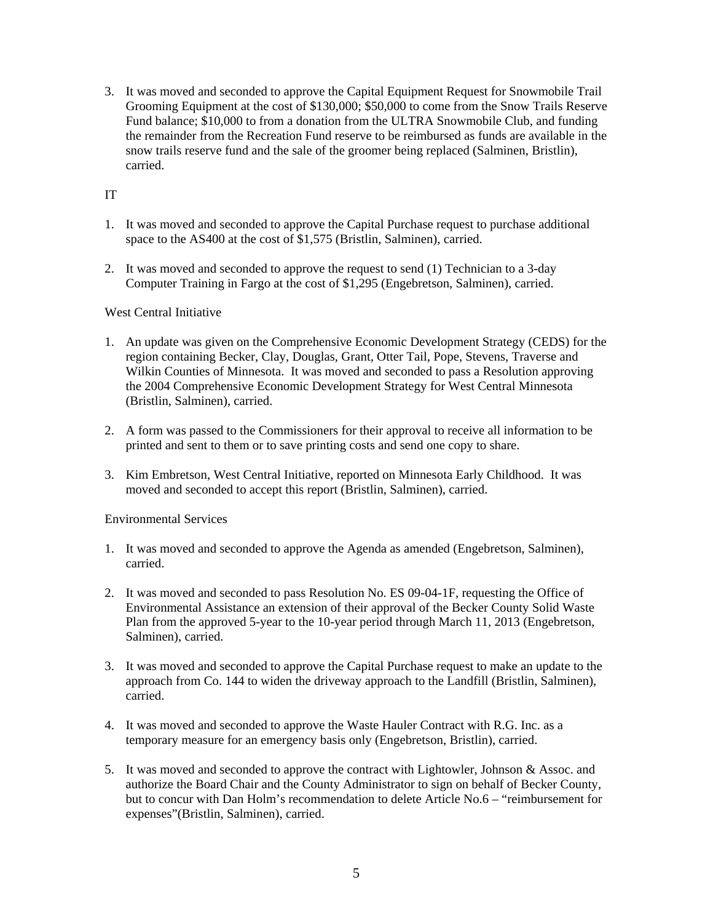3. It was moved and seconded to approve the Capital Equipment Request for Snowmobile Trail Grooming Equipment at the cost of \$130,000; \$50,000 to come from the Snow Trails Reserve Fund balance; \$10,000 to from a donation from the ULTRA Snowmobile Club, and funding the remainder from the Recreation Fund reserve to be reimbursed as funds are available in the snow trails reserve fund and the sale of the groomer being replaced (Salminen, Bristlin), carried.

# IT

- 1. It was moved and seconded to approve the Capital Purchase request to purchase additional space to the AS400 at the cost of \$1,575 (Bristlin, Salminen), carried.
- 2. It was moved and seconded to approve the request to send (1) Technician to a 3-day Computer Training in Fargo at the cost of \$1,295 (Engebretson, Salminen), carried.

# West Central Initiative

- 1. An update was given on the Comprehensive Economic Development Strategy (CEDS) for the region containing Becker, Clay, Douglas, Grant, Otter Tail, Pope, Stevens, Traverse and Wilkin Counties of Minnesota. It was moved and seconded to pass a Resolution approving the 2004 Comprehensive Economic Development Strategy for West Central Minnesota (Bristlin, Salminen), carried.
- 2. A form was passed to the Commissioners for their approval to receive all information to be printed and sent to them or to save printing costs and send one copy to share.
- 3. Kim Embretson, West Central Initiative, reported on Minnesota Early Childhood. It was moved and seconded to accept this report (Bristlin, Salminen), carried.

Environmental Services

- 1. It was moved and seconded to approve the Agenda as amended (Engebretson, Salminen), carried.
- 2. It was moved and seconded to pass Resolution No. ES 09-04-1F, requesting the Office of Environmental Assistance an extension of their approval of the Becker County Solid Waste Plan from the approved 5-year to the 10-year period through March 11, 2013 (Engebretson, Salminen), carried.
- 3. It was moved and seconded to approve the Capital Purchase request to make an update to the approach from Co. 144 to widen the driveway approach to the Landfill (Bristlin, Salminen), carried.
- 4. It was moved and seconded to approve the Waste Hauler Contract with R.G. Inc. as a temporary measure for an emergency basis only (Engebretson, Bristlin), carried.
- 5. It was moved and seconded to approve the contract with Lightowler, Johnson & Assoc. and authorize the Board Chair and the County Administrator to sign on behalf of Becker County, but to concur with Dan Holm's recommendation to delete Article No.6 – "reimbursement for expenses"(Bristlin, Salminen), carried.